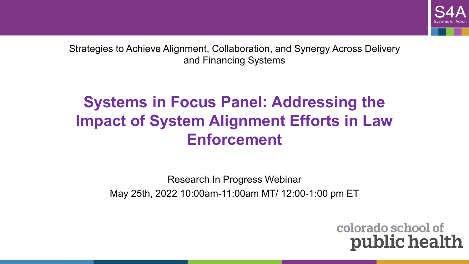

Strategies to Achieve Alignment, Collaboration, and Synergy Across Delivery and Financing Systems

### **Systems in Focus Panel: Addressing the Impact of System Alignment Efforts in Law Enforcement**

Research In Progress Webinar May 25th, 2022 10:00am-11:00am MT/ 12:00-1:00 pm ET

> colorado school of public health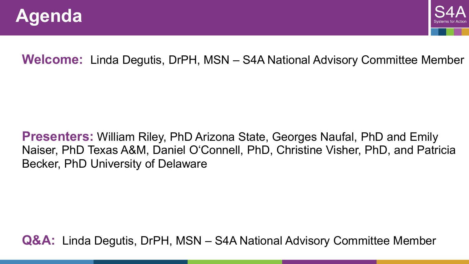



#### **Welcome:** Linda Degutis, DrPH, MSN – S4A National Advisory Committee Member

#### **Presenters:** William Riley, PhD Arizona State, Georges Naufal, PhD and Emily Naiser, PhD Texas A&M, Daniel O'Connell, PhD, Christine Visher, PhD, and Patricia Becker, PhD University of Delaware

**Q&A:** Linda Degutis, DrPH, MSN – S4A National Advisory Committee Member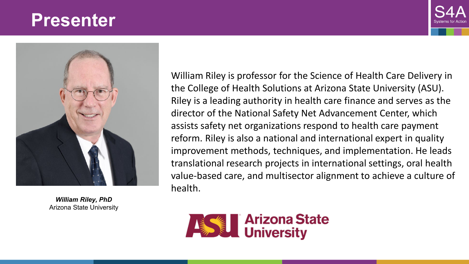



*William Riley, PhD* Arizona State University

. William Riley is professor for the Science of Health Care Delivery in the College of Health Solutions at Arizona State University (ASU). Riley is a leading authority in health care finance and serves as the director of the National Safety Net Advancement Center, which assists safety net organizations respond to health care payment reform. Riley is also a national and international expert in quality improvement methods, techniques, and implementation. He leads translational research projects in international settings, oral health value-based care, and multisector alignment to achieve a culture of health.

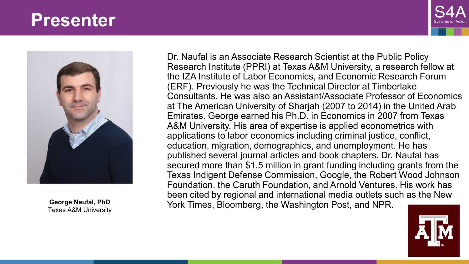



Texas A&M University

Dr. Naufal is an Associate Research Scientist at the Public Policy Research Institute (PPRI) at Texas A&M University, a research fellow at the IZA Institute of Labor Economics, and Economic Research Forum (ERF). Previously he was the Technical Director at Timberlake Consultants. He was also an Assistant/Associate Professor of Economics at The American University of Sharjah (2007 to 2014) in the United Arab Emirates. George earned his Ph.D. in Economics in 2007 from Texas A&M University. His area of expertise is applied econometrics with applications to labor economics including criminal justice, conflict, education, migration, demographics, and unemployment. He has published several journal articles and book chapters. Dr. Naufal has secured more than \$1.5 million in grant funding including grants from the Texas Indigent Defense Commission, Google, the Robert Wood Johnson Foundation, the Caruth Foundation, and Arnold Ventures. His work has been cited by regional and international media outlets such as the New York Times, Bloomberg, the Washington Post, and NPR. **George Naufal, PhD**

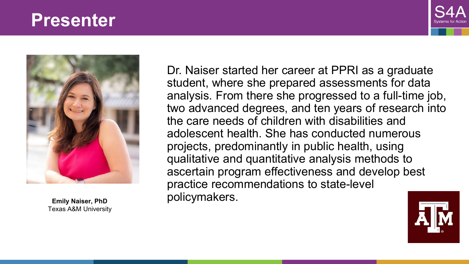



Texas A&M University

Dr. Naiser started her career at PPRI as a graduate student, where she prepared assessments for data analysis. From there she progressed to a full-time job, two advanced degrees, and ten years of research into the care needs of children with disabilities and adolescent health. She has conducted numerous projects, predominantly in public health, using qualitative and quantitative analysis methods to ascertain program effectiveness and develop best practice recommendations to state-level policymakers. **Emily Naiser, PhD**

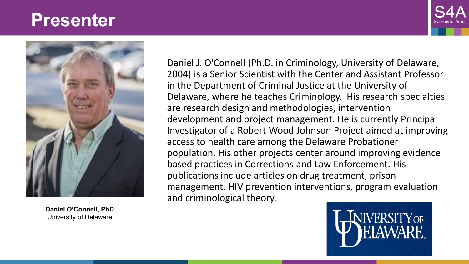



**Daniel O'Connell, PhD** University of Delaware

Daniel J. O'Connell (Ph.D. in Criminology, University of Delaware, 2004) is a Senior Scientist with the Center and Assistant Professor in the Department of Criminal Justice at the University of Delaware, where he teaches Criminology. His research specialties are research design and methodologies, intervention development and project management. He is currently Principal Investigator of a Robert Wood Johnson Project aimed at improving access to health care among the Delaware Probationer population. His other projects center around improving evidence based practices in Corrections and Law Enforcement. His publications include articles on drug treatment, prison management, HIV prevention interventions, program evaluation and criminological theory.

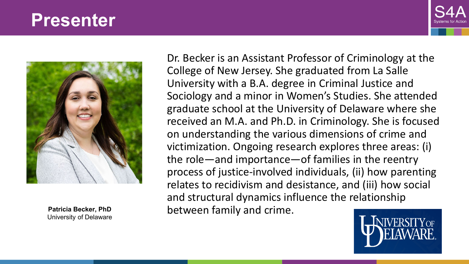



University of Delaware

Dr. Becker is an Assistant Professor of Criminology at the College of New Jersey. She graduated from La Salle University with a B.A. degree in Criminal Justice and Sociology and a minor in Women's Studies. She attended graduate school at the University of Delaware where she received an M.A. and Ph.D. in Criminology. She is focused on understanding the various dimensions of crime and victimization. Ongoing research explores three areas: (i) the role—and importance—of families in the reentry process of justice-involved individuals, (ii) how parenting relates to recidivism and desistance, and (iii) how social and structural dynamics influence the relationship Patricia Becker, PhD between family and crime.

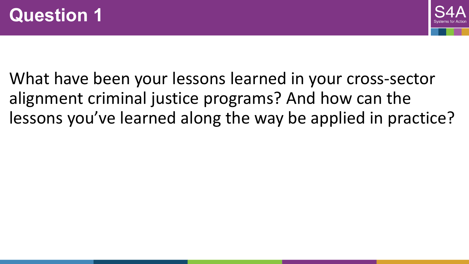

What have been your lessons learned in your cross-sector alignment criminal justice programs? And how can the lessons you've learned along the way be applied in practice?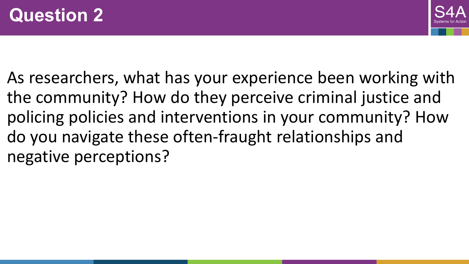

As researchers, what has your experience been working with the community? How do they perceive criminal justice and policing policies and interventions in your community? How do you navigate these often-fraught relationships and negative perceptions?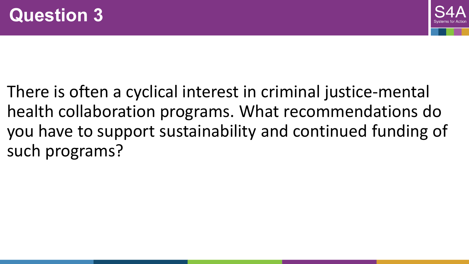

There is often a cyclical interest in criminal justice-mental health collaboration programs. What recommendations do you have to support sustainability and continued funding of such programs?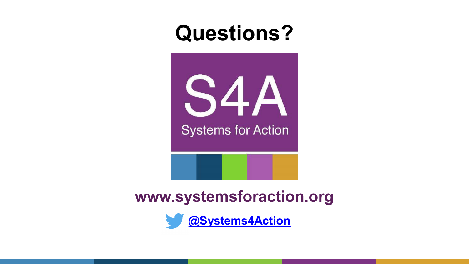# **Questions?**



**www.systemsforaction.org**

**[@Systems4Action](about:blank)**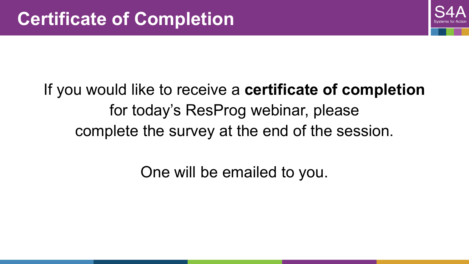

## If you would like to receive a **certificate of completion**  for today's ResProg webinar, please complete the survey at the end of the session.

One will be emailed to you.